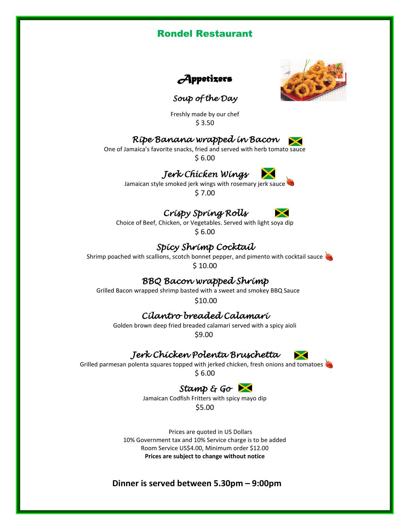



## *Soup of the Day*

Freshly made by our chef  $$3.50$ 

## *Ripe Banana wrapped in Bacon*

One of Jamaica's favorite snacks, fried and served with herb tomato sauce \$ 6.00

## *Jerk Chicken Wings*



Jamaican style smoked jerk wings with rosemary jerk sauce \$ 7.00

# *Crispy Spring Rolls*



Choice of Beef, Chicken, or Vegetables. Served with light soya dip \$ 6.00

## *Spicy Shrimp Cocktail*

Shrimp poached with scallions, scotch bonnet pepper, and pimento with cocktail sauce \$ 10.00

## *BBQ Bacon wrapped Shrimp*

Grilled Bacon wrapped shrimp basted with a sweet and smokey BBQ Sauce

\$10.00

## *Cilantro breaded Calamari*

 Golden brown deep fried breaded calamari served with a spicy aioli \$9.00

## *Jerk Chicken Polenta Bruschetta*

Grilled parmesan polenta squares topped with jerked chicken, fresh onions and tomatoes

\$ 6.00

## *Stamp & Go*

Jamaican Codfish Fritters with spicy mayo dip \$5.00

Prices are quoted in US Dollars 10% Government tax and 10% Service charge is to be added Room Service US\$4.00, Minimum order \$12.00 **Prices are subject to change without notice**

**Dinner is served between 5.30pm – 9:00pm**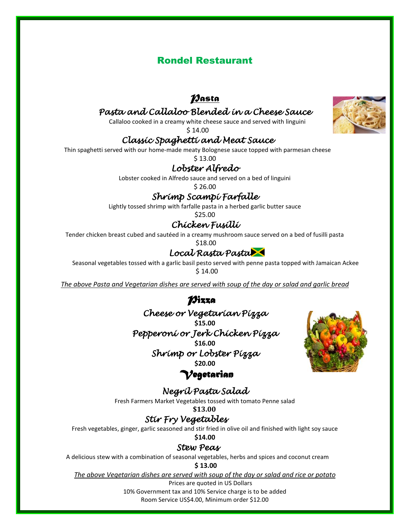# *Pasta*

## *Pasta and Callaloo Blended in a Cheese Sauce*

Callaloo cooked in a creamy white cheese sauce and served with linguini

\$ 14.00

## *Classic Spaghetti and Meat Sauce*

Thin spaghetti served with our home-made meaty Bolognese sauce topped with parmesan cheese

\$ 13.00

## *Lobster Alfredo*

Lobster cooked in Alfredo sauce and served on a bed of linguini

\$ 26.00

## *Shrimp Scampi Farfalle*

Lightly tossed shrimp with farfalle pasta in a herbed garlic butter sauce

\$25.00

# *Chicken Fusilli*

Tender chicken breast cubed and sautéed in a creamy mushroom sauce served on a bed of fusilli pasta

#### $$18.00$ *Local Rasta Pasta*

Seasonal vegetables tossed with a garlic basil pesto served with penne pasta topped with Jamaican Ackee \$ 14.00

*The above Pasta and Vegetarian dishes are served with soup of the day or salad and garlic bread* 

# *Pizza*

*Cheese or Vegetarian Pizza*  **\$15.00** *Pepperoni or Jerk Chicken Pizza*  **\$16.00** *Shrimp or Lobster Pizza*  **\$20.00**



## *Vegetarian*

*Negril Pasta Salad*  Fresh Farmers Market Vegetables tossed with tomato Penne salad

**\$13.00**

## *Stir Fry Vegetables*

Fresh vegetables, ginger, garlic seasoned and stir fried in olive oil and finished with light soy sauce

**\$14.00**

### *Stew Peas*

A delicious stew with a combination of seasonal vegetables, herbs and spices and coconut cream

#### **\$ 13.00**

*The above Vegetarian dishes are served with soup of the day or salad and rice or potato* Prices are quoted in US Dollars

10% Government tax and 10% Service charge is to be added

Room Service US\$4.00, Minimum order \$12.00

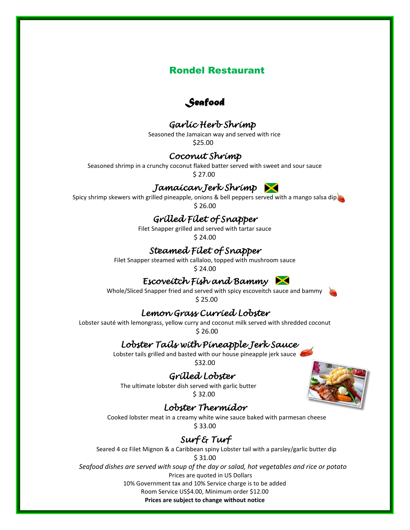## *Seafood*

## *Garlic Herb Shrimp*

Seasoned the Jamaican way and served with rice \$25.00

## *Coconut Shrimp*

Seasoned shrimp in a crunchy coconut flaked batter served with sweet and sour sauce \$ 27.00

## *Jamaican Jerk Shrimp*

Spicy shrimp skewers with grilled pineapple, onions & bell peppers served with a mango salsa dip

# \$ 26.00

## *Grilled Filet of Snapper*

Filet Snapper grilled and served with tartar sauce

\$ 24.00

## *Steamed Filet of Snapper*

Filet Snapper steamed with callaloo, topped with mushroom sauce

\$ 24.00

## *Escoveitch Fish and Bammy*

Whole/Sliced Snapper fried and served with spicy escoveitch sauce and bammy \$ 25.00

## *Lemon Grass Curried Lobster*

Lobster sauté with lemongrass, yellow curry and coconut milk served with shredded coconut \$ 26.00

## *Lobster Tails with Pineapple Jerk Sauce*

Lobster tails grilled and basted with our house pineapple jerk sauce

\$32.00

## *Grilled Lobster*

The ultimate lobster dish served with garlic butter \$ 32.00

## *Lobster Thermidor*

Cooked lobster meat in a creamy white wine sauce baked with parmesan cheese \$ 33.00

# *Surf & Turf*

Seared 4 oz Filet Mignon & a Caribbean spiny Lobster tail with a parsley/garlic butter dip

\$ 31.00

 *Seafood dishes are served with soup of the day or salad, hot vegetables and rice or potato*  Prices are quoted in US Dollars 10% Government tax and 10% Service charge is to be added Room Service US\$4.00, Minimum order \$12.00

**Prices are subject to change without notice**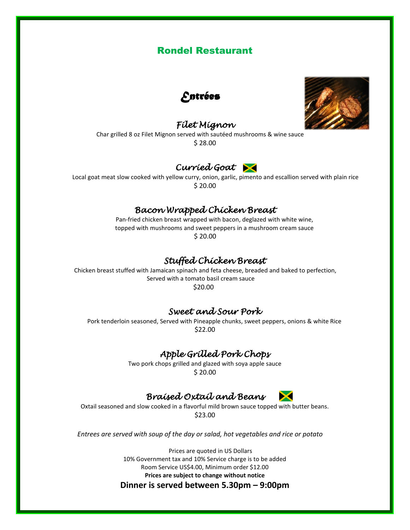

## *Filet Mignon*



Char grilled 8 oz Filet Mignon served with sautéed mushrooms & wine sauce \$ 28.00

## *Curried Goat*

Local goat meat slow cooked with yellow curry, onion, garlic, pimento and escallion served with plain rice \$ 20.00

## *Bacon Wrapped Chicken Breast*

Pan-fried chicken breast wrapped with bacon, deglazed with white wine, topped with [mushrooms](http://en.wikipedia.org/wiki/Mushrooms) and sweet peppers in a mushroom cream sauce \$ 20.00

## *Stuffed Chicken Breast*

 Chicken breast stuffed with Jamaican spinach and feta cheese, breaded and baked to perfection, Served with a tomato basil cream sauce \$20.00

#### *Sweet and Sour Pork*

Pork tenderloin seasoned, Served with Pineapple chunks, sweet peppers, onions & white Rice \$22.00

## *Apple Grilled Pork Chops*

Two pork chops grilled and glazed with soya apple sauce \$ 20.00

## *Braised Oxtail and Beans*

Oxtail seasoned and slow cooked in a flavorful mild brown sauce topped with butter beans. \$23.00

 *Entrees are served with soup of the day or salad, hot vegetables and rice or potato* 

Prices are quoted in US Dollars 10% Government tax and 10% Service charge is to be added Room Service US\$4.00, Minimum order \$12.00 **Prices are subject to change without notice**

#### **Dinner is served between 5.30pm – 9:00pm**